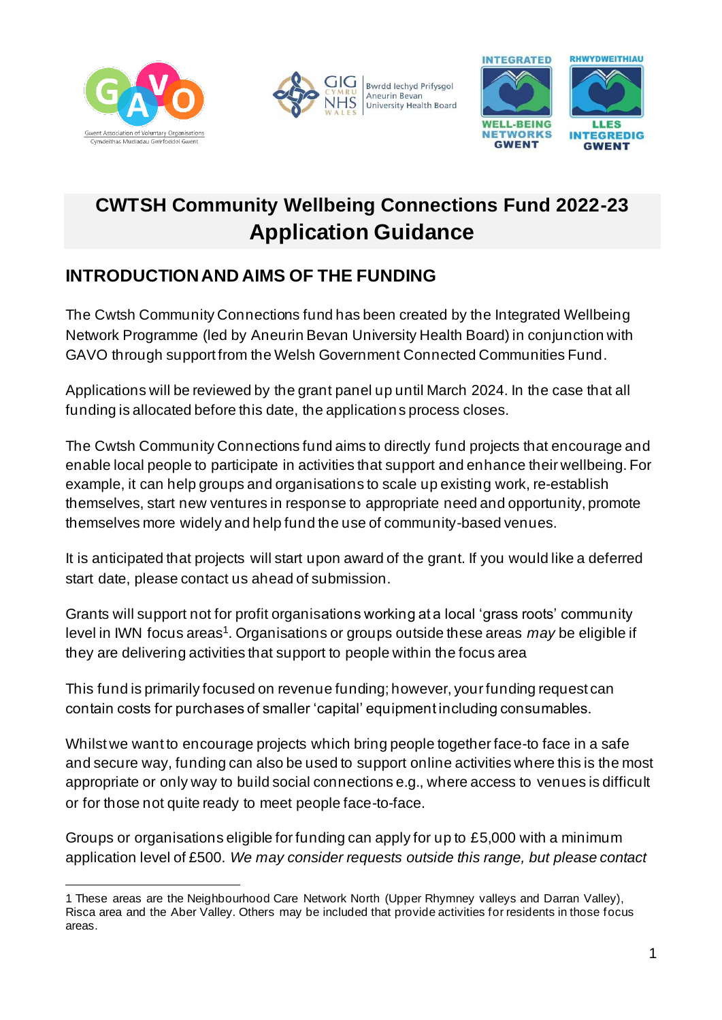





# **CWTSH Community Wellbeing Connections Fund 2022-23 Application Guidance**

### **INTRODUCTIONAND AIMS OF THE FUNDING**

The Cwtsh Community Connections fund has been created by the Integrated Wellbeing Network Programme (led by Aneurin Bevan University Health Board) in conjunction with GAVO through support from the Welsh Government Connected Communities Fund.

Applications will be reviewed by the grant panel up until March 2024. In the case that all funding is allocated before this date, the applications process closes.

The Cwtsh Community Connections fund aims to directly fund projects that encourage and enable local people to participate in activities that support and enhance their wellbeing. For example, it can help groups and organisations to scale up existing work, re-establish themselves, start new ventures in response to appropriate need and opportunity, promote themselves more widely and help fund the use of community-based venues.

It is anticipated that projects will start upon award of the grant. If you would like a deferred start date, please contact us ahead of submission.

Grants will support not for profit organisations working at a local 'grass roots' community level in IWN focus areas<sup>1</sup>. Organisations or groups outside these areas *may* be eligible if they are delivering activities that support to people within the focus area

This fund is primarily focused on revenue funding; however, your funding request can contain costs for purchases of smaller 'capital' equipment including consumables.

Whilst we want to encourage projects which bring people together face-to face in a safe and secure way, funding can also be used to support online activities where this is the most appropriate or only way to build social connections e.g., where access to venues is difficult or for those not quite ready to meet people face-to-face.

Groups or organisations eligible for funding can apply for up to £5,000 with a minimum application level of £500. *We may consider requests outside this range, but please contact* 

<sup>1</sup> These areas are the Neighbourhood Care Network North (Upper Rhymney valleys and Darran Valley), Risca area and the Aber Valley. Others may be included that provide activities for residents in those focus areas.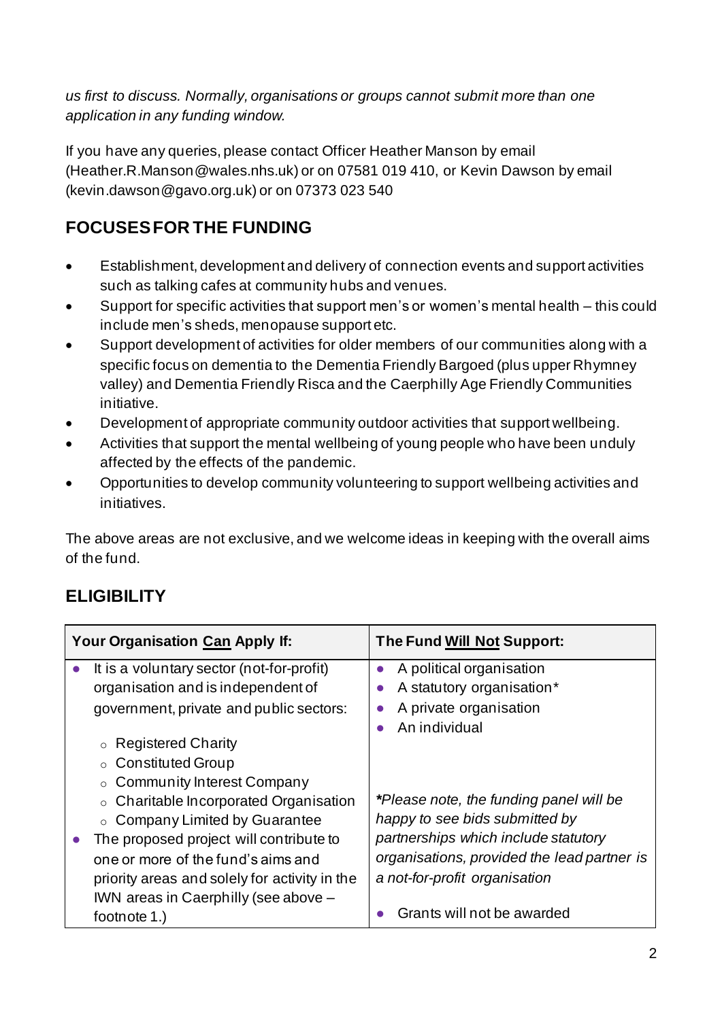*us first to discuss. Normally, organisations or groups cannot submit more than one application in any funding window.* 

If you have any queries, please contact Officer Heather Manson by email (Heather.R.Manson@wales.nhs.uk) or on 07581 019 410, or Kevin Dawson by email (kevin.dawson@gavo.org.uk) or on 07373 023 540

## **FOCUSES FOR THE FUNDING**

- Establishment, development and delivery of connection events and support activities such as talking cafes at community hubs and venues.
- Support for specific activities that support men's or women's mental health this could include men's sheds, menopause support etc.
- Support development of activities for older members of our communities along with a specific focus on dementia to the Dementia Friendly Bargoed (plus upper Rhymney valley) and Dementia Friendly Risca and the Caerphilly Age Friendly Communities initiative.
- Development of appropriate community outdoor activities that support wellbeing.
- Activities that support the mental wellbeing of young people who have been unduly affected by the effects of the pandemic.
- Opportunities to develop community volunteering to support wellbeing activities and initiatives.

The above areas are not exclusive, and we welcome ideas in keeping with the overall aims of the fund.

### **ELIGIBILITY**

| <b>Your Organisation Can Apply If:</b>        | <b>The Fund Will Not Support:</b>           |
|-----------------------------------------------|---------------------------------------------|
| It is a voluntary sector (not-for-profit)     | A political organisation<br>$\bullet$       |
| organisation and is independent of            | A statutory organisation*                   |
| government, private and public sectors:       | A private organisation                      |
|                                               | An individual                               |
| <b>Registered Charity</b><br>$\circ$          |                                             |
| ○ Constituted Group                           |                                             |
| ○ Community Interest Company                  |                                             |
| ○ Charitable Incorporated Organisation        | *Please note, the funding panel will be     |
| ○ Company Limited by Guarantee                | happy to see bids submitted by              |
| The proposed project will contribute to       | partnerships which include statutory        |
| one or more of the fund's aims and            | organisations, provided the lead partner is |
| priority areas and solely for activity in the | a not-for-profit organisation               |
| IWN areas in Caerphilly (see above -          |                                             |
| footnote 1.)                                  | Grants will not be awarded                  |